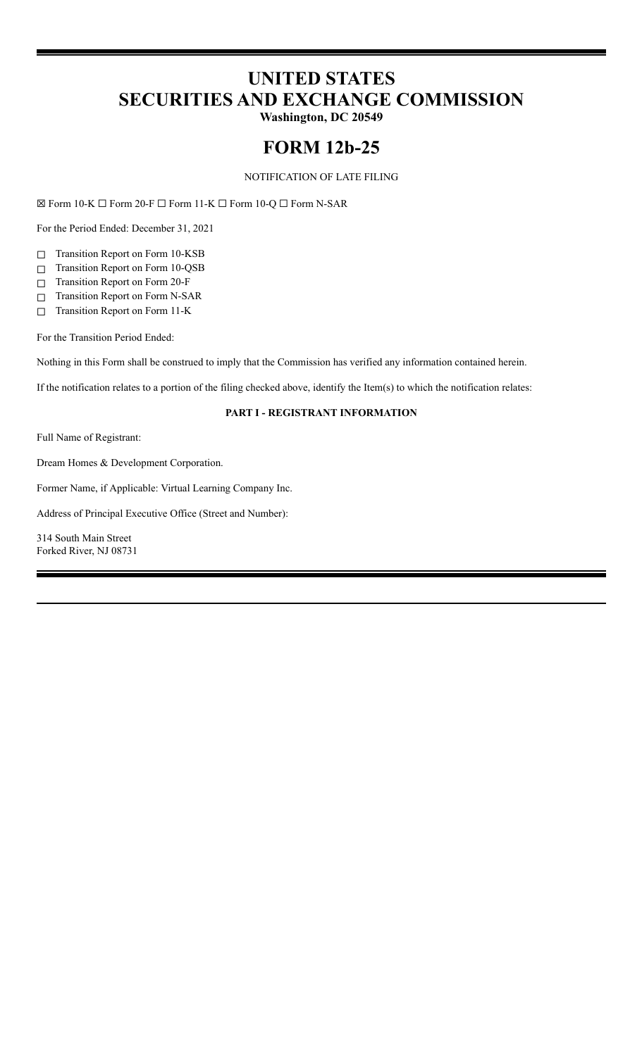# **UNITED STATES SECURITIES AND EXCHANGE COMMISSION**

**Washington, DC 20549**

# **FORM 12b-25**

NOTIFICATION OF LATE FILING

☒ Form 10-K ☐ Form 20-F ☐ Form 11-K ☐ Form 10-Q ☐ Form N-SAR

For the Period Ended: December 31, 2021

☐ Transition Report on Form 10-KSB

- ☐ Transition Report on Form 10-QSB
- ☐ Transition Report on Form 20-F
- ☐ Transition Report on Form N-SAR
- ☐ Transition Report on Form 11-K

For the Transition Period Ended:

Nothing in this Form shall be construed to imply that the Commission has verified any information contained herein.

If the notification relates to a portion of the filing checked above, identify the Item(s) to which the notification relates:

## **PART I - REGISTRANT INFORMATION**

Full Name of Registrant:

Dream Homes & Development Corporation.

Former Name, if Applicable: Virtual Learning Company Inc.

Address of Principal Executive Office (Street and Number):

314 South Main Street Forked River, NJ 08731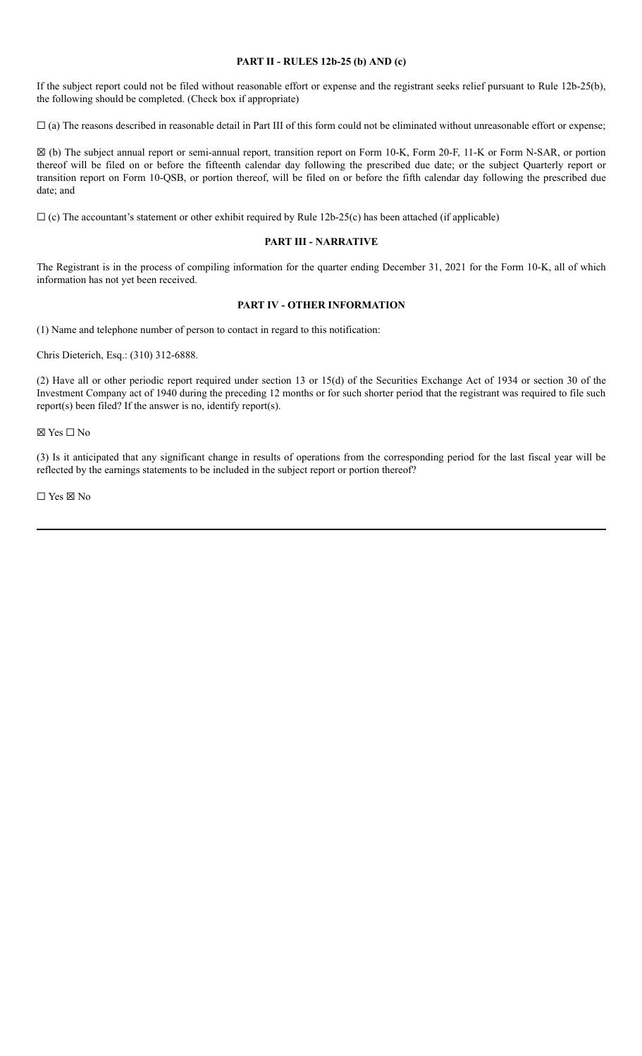#### **PART II - RULES 12b-25 (b) AND (c)**

If the subject report could not be filed without reasonable effort or expense and the registrant seeks relief pursuant to Rule 12b-25(b), the following should be completed. (Check box if appropriate)

 $\Box$  (a) The reasons described in reasonable detail in Part III of this form could not be eliminated without unreasonable effort or expense;

☒ (b) The subject annual report or semi-annual report, transition report on Form 10-K, Form 20-F, 11-K or Form N-SAR, or portion thereof will be filed on or before the fifteenth calendar day following the prescribed due date; or the subject Quarterly report or transition report on Form 10-QSB, or portion thereof, will be filed on or before the fifth calendar day following the prescribed due date; and

 $\Box$  (c) The accountant's statement or other exhibit required by Rule 12b-25(c) has been attached (if applicable)

#### **PART III - NARRATIVE**

The Registrant is in the process of compiling information for the quarter ending December 31, 2021 for the Form 10-K, all of which information has not yet been received.

## **PART IV - OTHER INFORMATION**

(1) Name and telephone number of person to contact in regard to this notification:

Chris Dieterich, Esq.: (310) 312-6888.

(2) Have all or other periodic report required under section 13 or 15(d) of the Securities Exchange Act of 1934 or section 30 of the Investment Company act of 1940 during the preceding 12 months or for such shorter period that the registrant was required to file such report(s) been filed? If the answer is no, identify report(s).

☒ Yes ☐ No

(3) Is it anticipated that any significant change in results of operations from the corresponding period for the last fiscal year will be reflected by the earnings statements to be included in the subject report or portion thereof?

☐ Yes ☒ No